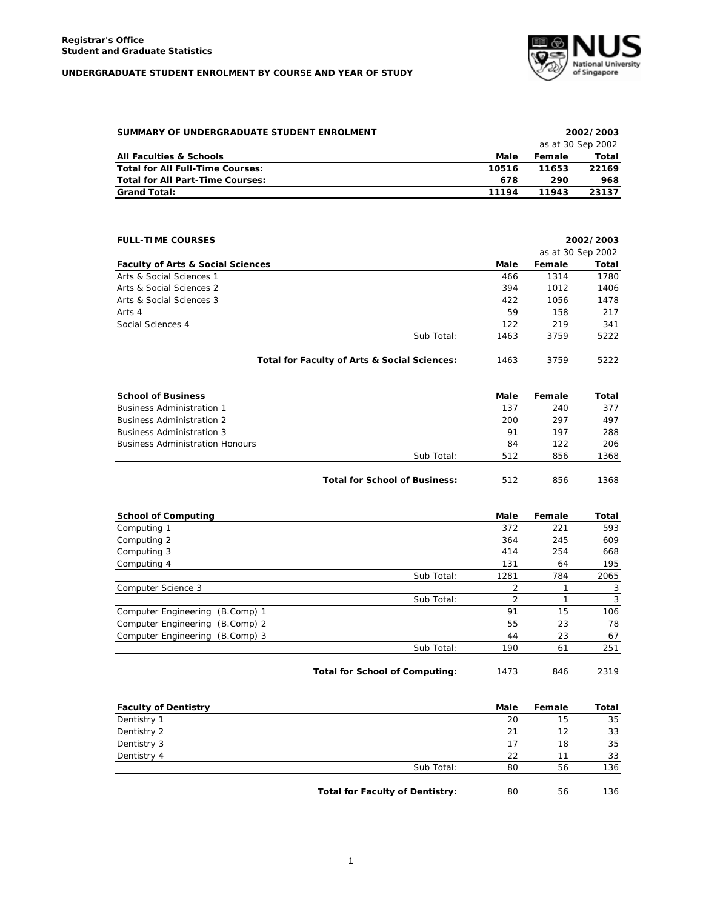

| SUMMARY OF UNDERGRADUATE STUDENT ENROLMENT |       | 2002/2003         |       |  |
|--------------------------------------------|-------|-------------------|-------|--|
|                                            |       | as at 30 Sep 2002 |       |  |
| <b>All Faculties &amp; Schools</b>         | Male  | Female            | Total |  |
| Total for All Full-Time Courses:           | 10516 | 11653             | 22169 |  |
| <b>Total for All Part-Time Courses:</b>    | 678   | 290               | 968   |  |
| <b>Grand Total:</b>                        | 11194 | 11943             | 23137 |  |

| <b>FULL-TIME COURSES</b>                     |            | 2002/2003 |                   |       |
|----------------------------------------------|------------|-----------|-------------------|-------|
|                                              |            |           | as at 30 Sep 2002 |       |
| <b>Faculty of Arts &amp; Social Sciences</b> |            | Male      | Female            | Total |
| Arts & Social Sciences 1                     |            | 466       | 1314              | 1780  |
| Arts & Social Sciences 2                     |            | 394       | 1012              | 1406  |
| Arts & Social Sciences 3                     |            | 422       | 1056              | 1478  |
| Arts 4                                       |            | 59        | 158               | 217   |
| Social Sciences 4                            |            | 122       | 219               | 341   |
|                                              | Sub Total: | 1463      | 3759              | 5222  |
|                                              |            |           |                   |       |

**Total for Faculty of Arts & Social Sciences:** 1463 3759 5222

| <b>School of Business</b>              |                                      | Male | Female | Total |
|----------------------------------------|--------------------------------------|------|--------|-------|
| <b>Business Administration 1</b>       |                                      | 137  | 240    | 377   |
| <b>Business Administration 2</b>       |                                      | 200  | 297    | 497   |
| <b>Business Administration 3</b>       |                                      | 91   | 197    | 288   |
| <b>Business Administration Honours</b> |                                      | 84   | 122    | 206   |
|                                        | Sub Total:                           | 512  | 856    | 1368  |
|                                        | <b>Total for School of Business:</b> | 512  | 856    | 1368  |

| <b>School of Computing</b>      |            | Male           | Female | Total |
|---------------------------------|------------|----------------|--------|-------|
| Computing 1                     |            | 372            | 221    | 593   |
| Computing 2                     |            | 364            | 245    | 609   |
| Computing 3                     |            | 414            | 254    | 668   |
| Computing 4                     |            | 131            | 64     | 195   |
|                                 | Sub Total: | 1281           | 784    | 2065  |
| Computer Science 3              |            | $\overline{2}$ |        | 3     |
|                                 | Sub Total: | C              |        | 3     |
| Computer Engineering (B.Comp) 1 |            | 91             | 15     | 106   |
| Computer Engineering (B.Comp) 2 |            | 55             | 23     | 78    |
| Computer Engineering (B.Comp) 3 |            | 44             | 23     | 67    |
|                                 | Sub Total: | 190            | 61     | 251   |
|                                 |            |                |        |       |

Total for School of Computing:  $1473$  846 2319

| <b>Faculty of Dentistry</b> |                                 | Male   | Female | Total  |
|-----------------------------|---------------------------------|--------|--------|--------|
| Dentistry 1                 |                                 | 20     | 15     | 35     |
| Dentistry 2                 |                                 | 21     | 12     | 33     |
| Dentistry 3                 |                                 | 17     | 18     | 35     |
| Dentistry 4                 |                                 | 22     | 11     | 33     |
|                             | Sub Total:                      | 80     | 56     | 136    |
|                             | エンチント キング ロンマン けいしつよう あっこうけいせいし | $\sim$ | $\sim$ | $\sim$ |

Total for Faculty of Dentistry: 80 56 136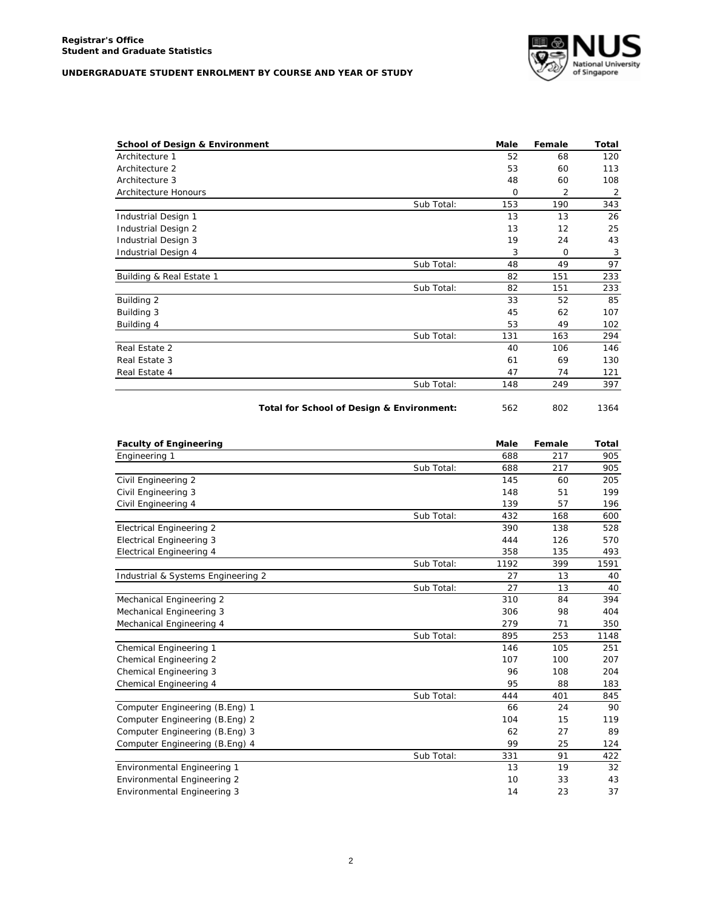

| <b>School of Design &amp; Environment</b> |            | Male | Female | Total |
|-------------------------------------------|------------|------|--------|-------|
| Architecture 1                            |            | 52   | 68     | 120   |
| Architecture 2                            |            | 53   | 60     | 113   |
| Architecture 3                            |            | 48   | 60     | 108   |
| Architecture Honours                      |            | O    | 2      | 2     |
|                                           | Sub Total: | 153  | 190    | 343   |
| Industrial Design 1                       |            | 13   | 13     | 26    |
| Industrial Design 2                       |            | 13   | 12     | 25    |
| Industrial Design 3                       |            | 19   | 24     | 43    |
| Industrial Design 4                       |            | 3    | 0      | 3     |
|                                           | Sub Total: | 48   | 49     | 97    |
| Building & Real Estate 1                  |            | 82   | 151    | 233   |
|                                           | Sub Total: | 82   | 151    | 233   |
| Building 2                                |            | 33   | 52     | 85    |
| Building 3                                |            | 45   | 62     | 107   |
| Building 4                                |            | 53   | 49     | 102   |
|                                           | Sub Total: | 131  | 163    | 294   |
| Real Estate 2                             |            | 40   | 106    | 146   |
| Real Estate 3                             |            | 61   | 69     | 130   |
| Real Estate 4                             |            | 47   | 74     | 121   |
|                                           | Sub Total: | 148  | 249    | 397   |
|                                           |            |      |        |       |

Total for School of Design & Environment: 562 802 1364

| <b>Faculty of Engineering</b>      |            | Male | Female | Total |
|------------------------------------|------------|------|--------|-------|
| Engineering 1                      |            | 688  | 217    | 905   |
|                                    | Sub Total: | 688  | 217    | 905   |
| Civil Engineering 2                |            | 145  | 60     | 205   |
| Civil Engineering 3                |            | 148  | 51     | 199   |
| Civil Engineering 4                |            | 139  | 57     | 196   |
|                                    | Sub Total: | 432  | 168    | 600   |
| <b>Electrical Engineering 2</b>    |            | 390  | 138    | 528   |
| <b>Electrical Engineering 3</b>    |            | 444  | 126    | 570   |
| <b>Electrical Engineering 4</b>    |            | 358  | 135    | 493   |
|                                    | Sub Total: | 1192 | 399    | 1591  |
| Industrial & Systems Engineering 2 |            | 27   | 13     | 40    |
|                                    | Sub Total: | 27   | 13     | 40    |
| Mechanical Engineering 2           |            | 310  | 84     | 394   |
| Mechanical Engineering 3           |            | 306  | 98     | 404   |
| Mechanical Engineering 4           |            | 279  | 71     | 350   |
|                                    | Sub Total: | 895  | 253    | 1148  |
| Chemical Engineering 1             |            | 146  | 105    | 251   |
| Chemical Engineering 2             |            | 107  | 100    | 207   |
| Chemical Engineering 3             |            | 96   | 108    | 204   |
| Chemical Engineering 4             |            | 95   | 88     | 183   |
|                                    | Sub Total: | 444  | 401    | 845   |
| Computer Engineering (B.Eng) 1     |            | 66   | 24     | 90    |
| Computer Engineering (B.Eng) 2     |            | 104  | 15     | 119   |
| Computer Engineering (B.Eng) 3     |            | 62   | 27     | 89    |
| Computer Engineering (B.Eng) 4     |            | 99   | 25     | 124   |
|                                    | Sub Total: | 331  | 91     | 422   |
| Environmental Engineering 1        |            | 13   | 19     | 32    |
| Environmental Engineering 2        |            | 10   | 33     | 43    |
| Environmental Engineering 3        |            | 14   | 23     | 37    |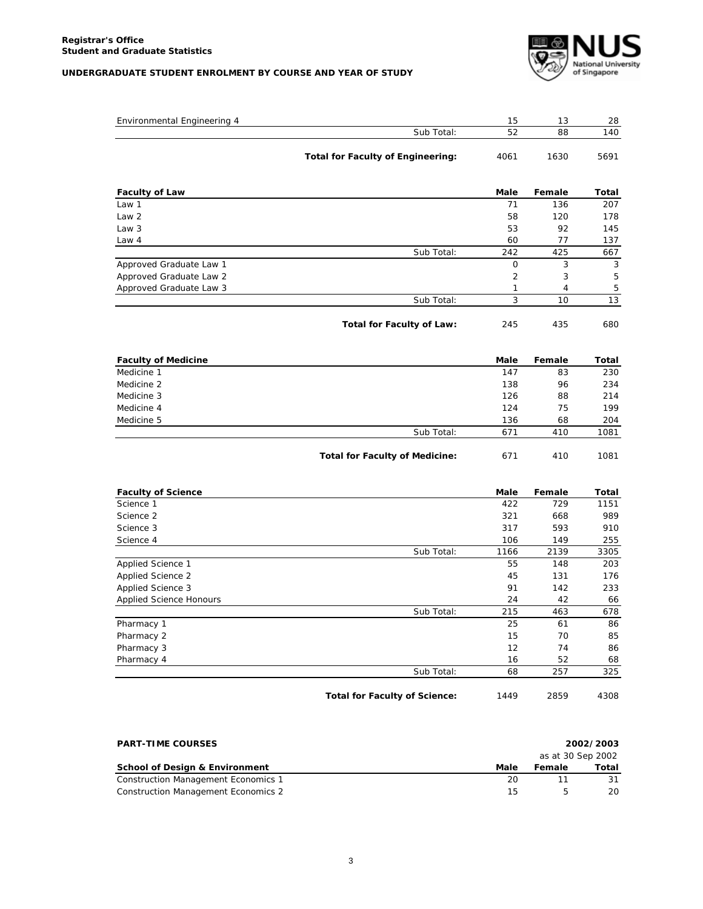

| Environmental Engineering 4 |                                          | 15             | 13             | 28    |
|-----------------------------|------------------------------------------|----------------|----------------|-------|
|                             | Sub Total:                               | 52             | 88             | 140   |
|                             |                                          |                |                |       |
|                             | <b>Total for Faculty of Engineering:</b> | 4061           | 1630           | 5691  |
| <b>Faculty of Law</b>       |                                          | Male           | Female         | Total |
| Law 1                       |                                          | 71             | 136            | 207   |
| Law <sub>2</sub>            |                                          | 58             | 120            | 178   |
| Law <sub>3</sub>            |                                          | 53             | 92             | 145   |
| Law 4                       |                                          | 60             | 77             | 137   |
|                             | Sub Total:                               | 242            | 425            | 667   |
| Approved Graduate Law 1     |                                          | $\mathsf{O}$   | 3              | 3     |
| Approved Graduate Law 2     |                                          | $\overline{2}$ | 3              | 5     |
| Approved Graduate Law 3     |                                          | 1              | $\overline{4}$ | 5     |
|                             | Sub Total:                               | 3              | 10             | 13    |
|                             | <b>Total for Faculty of Law:</b>         | 245            | 435            | 680   |
| <b>Faculty of Medicine</b>  |                                          | Male           | Female         | Total |
| Medicine 1                  |                                          | 147            | 83             | 230   |
| Medicine 2                  |                                          | 138            | 96             | 234   |
| Medicine 3                  |                                          | 126            | 88             | 214   |
| Medicine 4                  |                                          | 124            | 75             | 199   |
| Medicine 5                  |                                          | 136            | 68             | 204   |
|                             | Sub Total:                               | 671            | 410            | 1081  |
|                             | <b>Total for Faculty of Medicine:</b>    | 671            | 410            | 1081  |
| <b>Faculty of Science</b>   |                                          | Male           | Female         | Total |
| Science 1                   |                                          | 422            | 729            | 1151  |
| Science 2                   |                                          | 321            | 668            | 989   |
| Science 3                   |                                          | 317            | 593            | 910   |
| Science 4                   |                                          | 106            | 149            | 255   |
|                             | Sub Total:                               | 1166           | 2139           | 3305  |
| Applied Science 1           |                                          | 55             | 148            | 203   |
| Applied Science 2           |                                          | 45             | 131            | 176   |
| Applied Science 3           |                                          | 91             | 142            | 233   |
| Applied Science Honours     |                                          | 24             | 42             | 66    |
|                             | Sub Total:                               | 215            | 463            | 678   |
| Pharmacy 1                  |                                          | 25             | 61             | 86    |
| Pharmacy 2                  |                                          | 15             | 70             | 85    |
| Pharmacy 3                  |                                          | 12             | 74             | 86    |
| Pharmacy 4                  |                                          | 16             | 52             | 68    |
|                             | Sub Total:                               | 68             | 257            | 325   |
|                             | <b>Total for Faculty of Science:</b>     | 1449           | 2859           | 4308  |

**PART-TIME COURSES 2002/2003** *as at 30 Sep 2002* **School of Design & Environment Contract Contract Contract Contract Contract Contract Contract Contract Contract Contract Contract Contract Contract Contract Contract Contract Contract Contract Contract Contract Contract C Construction Management Economics 1** 20 11 31 Construction Management Economics 2 15 5 20